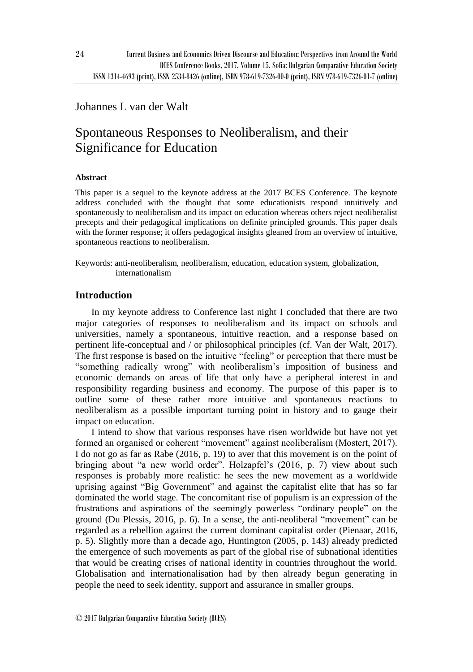# Johannes L van der Walt

# Spontaneous Responses to Neoliberalism, and their Significance for Education

# **Abstract**

This paper is a sequel to the keynote address at the 2017 BCES Conference. The keynote address concluded with the thought that some educationists respond intuitively and spontaneously to neoliberalism and its impact on education whereas others reject neoliberalist precepts and their pedagogical implications on definite principled grounds. This paper deals with the former response; it offers pedagogical insights gleaned from an overview of intuitive, spontaneous reactions to neoliberalism.

Keywords: anti-neoliberalism, neoliberalism, education, education system, globalization, internationalism

# **Introduction**

In my keynote address to Conference last night I concluded that there are two major categories of responses to neoliberalism and its impact on schools and universities, namely a spontaneous, intuitive reaction, and a response based on pertinent life-conceptual and / or philosophical principles (cf. Van der Walt, 2017). The first response is based on the intuitive "feeling" or perception that there must be "something radically wrong" with neoliberalism's imposition of business and economic demands on areas of life that only have a peripheral interest in and responsibility regarding business and economy. The purpose of this paper is to outline some of these rather more intuitive and spontaneous reactions to neoliberalism as a possible important turning point in history and to gauge their impact on education.

I intend to show that various responses have risen worldwide but have not yet formed an organised or coherent "movement" against neoliberalism (Mostert, 2017). I do not go as far as Rabe (2016, p. 19) to aver that this movement is on the point of bringing about "a new world order". Holzapfel's (2016, p. 7) view about such responses is probably more realistic: he sees the new movement as a worldwide uprising against "Big Government" and against the capitalist elite that has so far dominated the world stage. The concomitant rise of populism is an expression of the frustrations and aspirations of the seemingly powerless "ordinary people" on the ground (Du Plessis, 2016, p. 6). In a sense, the anti-neoliberal "movement" can be regarded as a rebellion against the current dominant capitalist order (Pienaar, 2016, p. 5). Slightly more than a decade ago, Huntington (2005, p. 143) already predicted the emergence of such movements as part of the global rise of subnational identities that would be creating crises of national identity in countries throughout the world. Globalisation and internationalisation had by then already begun generating in people the need to seek identity, support and assurance in smaller groups.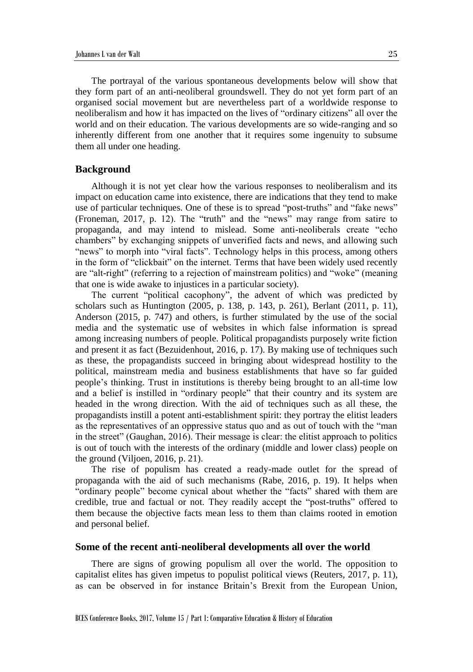The portrayal of the various spontaneous developments below will show that they form part of an anti-neoliberal groundswell. They do not yet form part of an organised social movement but are nevertheless part of a worldwide response to neoliberalism and how it has impacted on the lives of "ordinary citizens" all over the world and on their education. The various developments are so wide-ranging and so inherently different from one another that it requires some ingenuity to subsume them all under one heading.

#### **Background**

Although it is not yet clear how the various responses to neoliberalism and its impact on education came into existence, there are indications that they tend to make use of particular techniques. One of these is to spread "post-truths" and "fake news" (Froneman, 2017, p. 12). The "truth" and the "news" may range from satire to propaganda, and may intend to mislead. Some anti-neoliberals create "echo chambers" by exchanging snippets of unverified facts and news, and allowing such "news" to morph into "viral facts". Technology helps in this process, among others in the form of "clickbait" on the internet. Terms that have been widely used recently are "alt-right" (referring to a rejection of mainstream politics) and "woke" (meaning that one is wide awake to injustices in a particular society).

The current "political cacophony", the advent of which was predicted by scholars such as Huntington (2005, p. 138, p. 143, p. 261), Berlant (2011, p. 11), Anderson (2015, p. 747) and others, is further stimulated by the use of the social media and the systematic use of websites in which false information is spread among increasing numbers of people. Political propagandists purposely write fiction and present it as fact (Bezuidenhout, 2016, p. 17). By making use of techniques such as these, the propagandists succeed in bringing about widespread hostility to the political, mainstream media and business establishments that have so far guided people's thinking. Trust in institutions is thereby being brought to an all-time low and a belief is instilled in "ordinary people" that their country and its system are headed in the wrong direction. With the aid of techniques such as all these, the propagandists instill a potent anti-establishment spirit: they portray the elitist leaders as the representatives of an oppressive status quo and as out of touch with the "man in the street" (Gaughan, 2016). Their message is clear: the elitist approach to politics is out of touch with the interests of the ordinary (middle and lower class) people on the ground (Viljoen, 2016, p. 21).

The rise of populism has created a ready-made outlet for the spread of propaganda with the aid of such mechanisms (Rabe, 2016, p. 19). It helps when "ordinary people" become cynical about whether the "facts" shared with them are credible, true and factual or not. They readily accept the "post-truths" offered to them because the objective facts mean less to them than claims rooted in emotion and personal belief.

#### **Some of the recent anti-neoliberal developments all over the world**

There are signs of growing populism all over the world. The opposition to capitalist elites has given impetus to populist political views (Reuters, 2017, p. 11), as can be observed in for instance Britain's Brexit from the European Union,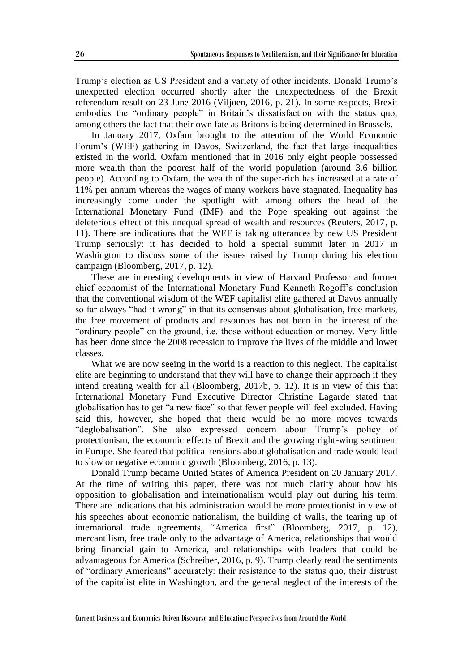Trump's election as US President and a variety of other incidents. Donald Trump's unexpected election occurred shortly after the unexpectedness of the Brexit referendum result on 23 June 2016 (Viljoen, 2016, p. 21). In some respects, Brexit embodies the "ordinary people" in Britain's dissatisfaction with the status quo, among others the fact that their own fate as Britons is being determined in Brussels.

In January 2017, Oxfam brought to the attention of the World Economic Forum's (WEF) gathering in Davos, Switzerland, the fact that large inequalities existed in the world. Oxfam mentioned that in 2016 only eight people possessed more wealth than the poorest half of the world population (around 3.6 billion people). According to Oxfam, the wealth of the super-rich has increased at a rate of 11% per annum whereas the wages of many workers have stagnated. Inequality has increasingly come under the spotlight with among others the head of the International Monetary Fund (IMF) and the Pope speaking out against the deleterious effect of this unequal spread of wealth and resources (Reuters, 2017, p. 11). There are indications that the WEF is taking utterances by new US President Trump seriously: it has decided to hold a special summit later in 2017 in Washington to discuss some of the issues raised by Trump during his election campaign (Bloomberg, 2017, p. 12).

These are interesting developments in view of Harvard Professor and former chief economist of the International Monetary Fund Kenneth Rogoff's conclusion that the conventional wisdom of the WEF capitalist elite gathered at Davos annually so far always "had it wrong" in that its consensus about globalisation, free markets, the free movement of products and resources has not been in the interest of the "ordinary people" on the ground, i.e. those without education or money. Very little has been done since the 2008 recession to improve the lives of the middle and lower classes.

What we are now seeing in the world is a reaction to this neglect. The capitalist elite are beginning to understand that they will have to change their approach if they intend creating wealth for all (Bloomberg, 2017b, p. 12). It is in view of this that International Monetary Fund Executive Director Christine Lagarde stated that globalisation has to get "a new face" so that fewer people will feel excluded. Having said this, however, she hoped that there would be no more moves towards "deglobalisation". She also expressed concern about Trump's policy of protectionism, the economic effects of Brexit and the growing right-wing sentiment in Europe. She feared that political tensions about globalisation and trade would lead to slow or negative economic growth (Bloomberg, 2016, p. 13).

Donald Trump became United States of America President on 20 January 2017. At the time of writing this paper, there was not much clarity about how his opposition to globalisation and internationalism would play out during his term. There are indications that his administration would be more protectionist in view of his speeches about economic nationalism, the building of walls, the tearing up of international trade agreements, "America first" (Bloomberg, 2017, p. 12), mercantilism, free trade only to the advantage of America, relationships that would bring financial gain to America, and relationships with leaders that could be advantageous for America (Schreiber, 2016, p. 9). Trump clearly read the sentiments of "ordinary Americans" accurately: their resistance to the status quo, their distrust of the capitalist elite in Washington, and the general neglect of the interests of the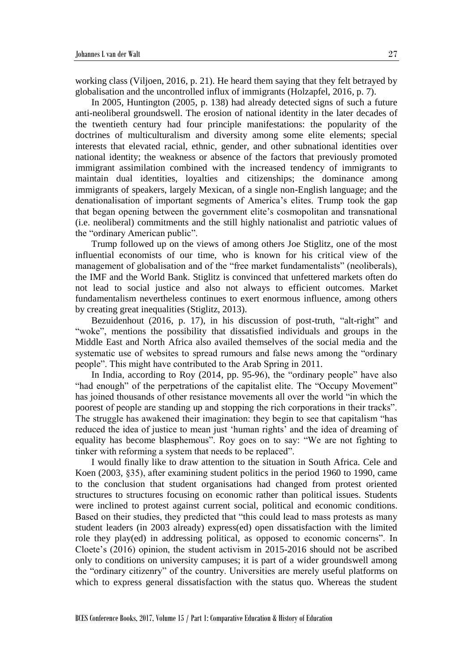working class (Viljoen, 2016, p. 21). He heard them saying that they felt betrayed by globalisation and the uncontrolled influx of immigrants (Holzapfel, 2016, p. 7).

In 2005, Huntington (2005, p. 138) had already detected signs of such a future anti-neoliberal groundswell. The erosion of national identity in the later decades of the twentieth century had four principle manifestations: the popularity of the doctrines of multiculturalism and diversity among some elite elements; special interests that elevated racial, ethnic, gender, and other subnational identities over national identity; the weakness or absence of the factors that previously promoted immigrant assimilation combined with the increased tendency of immigrants to maintain dual identities, loyalties and citizenships; the dominance among immigrants of speakers, largely Mexican, of a single non-English language; and the denationalisation of important segments of America's elites. Trump took the gap that began opening between the government elite's cosmopolitan and transnational (i.e. neoliberal) commitments and the still highly nationalist and patriotic values of the "ordinary American public".

Trump followed up on the views of among others Joe Stiglitz, one of the most influential economists of our time, who is known for his critical view of the management of globalisation and of the "free market fundamentalists" (neoliberals), the IMF and the World Bank. Stiglitz is convinced that unfettered markets often do not lead to social justice and also not always to efficient outcomes. Market fundamentalism nevertheless continues to exert enormous influence, among others by creating great inequalities (Stiglitz, 2013).

Bezuidenhout (2016, p. 17), in his discussion of post-truth, "alt-right" and "woke", mentions the possibility that dissatisfied individuals and groups in the Middle East and North Africa also availed themselves of the social media and the systematic use of websites to spread rumours and false news among the "ordinary people". This might have contributed to the Arab Spring in 2011.

In India, according to Roy (2014, pp. 95-96), the "ordinary people" have also "had enough" of the perpetrations of the capitalist elite. The "Occupy Movement" has joined thousands of other resistance movements all over the world "in which the poorest of people are standing up and stopping the rich corporations in their tracks". The struggle has awakened their imagination: they begin to see that capitalism "has reduced the idea of justice to mean just 'human rights' and the idea of dreaming of equality has become blasphemous". Roy goes on to say: "We are not fighting to tinker with reforming a system that needs to be replaced".

I would finally like to draw attention to the situation in South Africa. Cele and Koen (2003, §35), after examining student politics in the period 1960 to 1990, came to the conclusion that student organisations had changed from protest oriented structures to structures focusing on economic rather than political issues. Students were inclined to protest against current social, political and economic conditions. Based on their studies, they predicted that "this could lead to mass protests as many student leaders (in 2003 already) express(ed) open dissatisfaction with the limited role they play(ed) in addressing political, as opposed to economic concerns". In Cloete's (2016) opinion, the student activism in 2015-2016 should not be ascribed only to conditions on university campuses; it is part of a wider groundswell among the "ordinary citizenry" of the country. Universities are merely useful platforms on which to express general dissatisfaction with the status quo. Whereas the student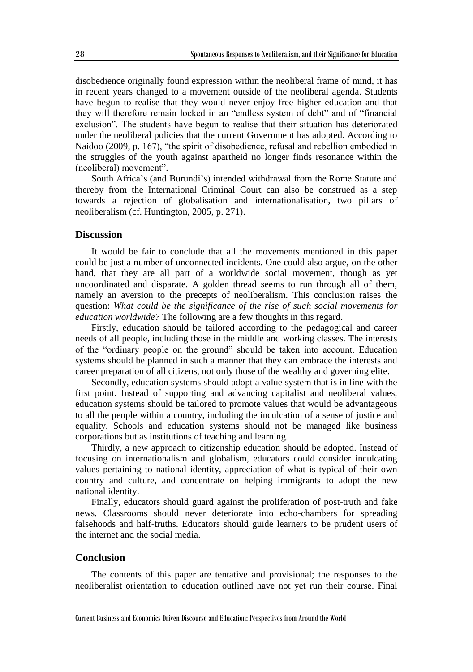disobedience originally found expression within the neoliberal frame of mind, it has in recent years changed to a movement outside of the neoliberal agenda. Students have begun to realise that they would never enjoy free higher education and that they will therefore remain locked in an "endless system of debt" and of "financial exclusion". The students have begun to realise that their situation has deteriorated under the neoliberal policies that the current Government has adopted. According to Naidoo (2009, p. 167), "the spirit of disobedience, refusal and rebellion embodied in the struggles of the youth against apartheid no longer finds resonance within the (neoliberal) movement".

South Africa's (and Burundi's) intended withdrawal from the Rome Statute and thereby from the International Criminal Court can also be construed as a step towards a rejection of globalisation and internationalisation, two pillars of neoliberalism (cf. Huntington, 2005, p. 271).

## **Discussion**

It would be fair to conclude that all the movements mentioned in this paper could be just a number of unconnected incidents. One could also argue, on the other hand, that they are all part of a worldwide social movement, though as yet uncoordinated and disparate. A golden thread seems to run through all of them, namely an aversion to the precepts of neoliberalism. This conclusion raises the question: *What could be the significance of the rise of such social movements for education worldwide?* The following are a few thoughts in this regard.

Firstly, education should be tailored according to the pedagogical and career needs of all people, including those in the middle and working classes. The interests of the "ordinary people on the ground" should be taken into account. Education systems should be planned in such a manner that they can embrace the interests and career preparation of all citizens, not only those of the wealthy and governing elite.

Secondly, education systems should adopt a value system that is in line with the first point. Instead of supporting and advancing capitalist and neoliberal values, education systems should be tailored to promote values that would be advantageous to all the people within a country, including the inculcation of a sense of justice and equality. Schools and education systems should not be managed like business corporations but as institutions of teaching and learning.

Thirdly, a new approach to citizenship education should be adopted. Instead of focusing on internationalism and globalism, educators could consider inculcating values pertaining to national identity, appreciation of what is typical of their own country and culture, and concentrate on helping immigrants to adopt the new national identity.

Finally, educators should guard against the proliferation of post-truth and fake news. Classrooms should never deteriorate into echo-chambers for spreading falsehoods and half-truths. Educators should guide learners to be prudent users of the internet and the social media.

## **Conclusion**

The contents of this paper are tentative and provisional; the responses to the neoliberalist orientation to education outlined have not yet run their course. Final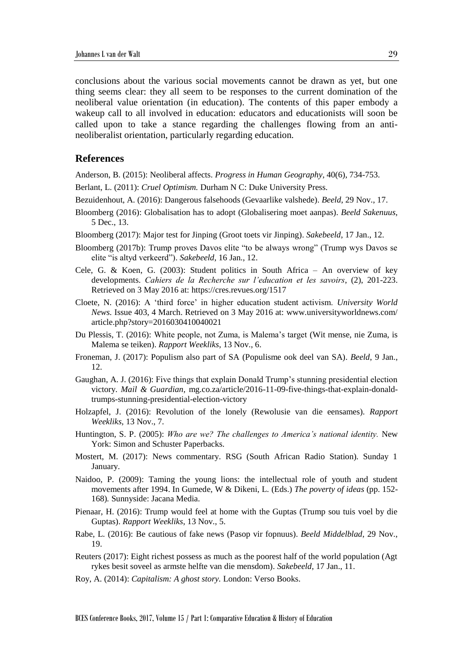conclusions about the various social movements cannot be drawn as yet, but one thing seems clear: they all seem to be responses to the current domination of the neoliberal value orientation (in education). The contents of this paper embody a wakeup call to all involved in education: educators and educationists will soon be called upon to take a stance regarding the challenges flowing from an antineoliberalist orientation, particularly regarding education.

## **References**

Anderson, B. (2015): Neoliberal affects. *Progress in Human Geography*, 40(6), 734-753.

- Berlant, L. (2011): *Cruel Optimism.* Durham N C: Duke University Press.
- Bezuidenhout, A. (2016): Dangerous falsehoods (Gevaarlike valshede). *Beeld*, 29 Nov., 17.
- Bloomberg (2016): Globalisation has to adopt (Globalisering moet aanpas). *Beeld Sakenuus*, 5 Dec., 13.
- Bloomberg (2017): Major test for Jinping (Groot toets vir Jinping). *Sakebeeld*, 17 Jan., 12.
- Bloomberg (2017b): Trump proves Davos elite "to be always wrong" (Trump wys Davos se elite "is altyd verkeerd"). *Sakebeeld*, 16 Jan., 12.
- Cele, G. & Koen, G. (2003): Student politics in South Africa An overview of key developments. *Cahiers de la Recherche sur l'education et les savoirs*, (2), 201-223. Retrieved on 3 May 2016 at: https://cres.revues.org/1517
- Cloete, N. (2016): A 'third force' in higher education student activism. *University World News.* Issue 403, 4 March. Retrieved on 3 May 2016 at: www.universityworldnews.com/ article.php?story=2016030410040021
- Du Plessis, T. (2016): White people, not Zuma, is Malema's target (Wit mense, nie Zuma, is Malema se teiken). *Rapport Weekliks*, 13 Nov., 6.
- Froneman, J. (2017): Populism also part of SA (Populisme ook deel van SA). *Beeld*, 9 Jan., 12.
- Gaughan, A. J. (2016): Five things that explain Donald Trump's stunning presidential election victory. *Mail & Guardian,* mg.co.za/article/2016-11-09-five-things-that-explain-donaldtrumps-stunning-presidential-election-victory
- Holzapfel, J. (2016): Revolution of the lonely (Rewolusie van die eensames). *Rapport Weekliks,* 13 Nov., 7.
- Huntington, S. P. (2005): *Who are we? The challenges to America's national identity.* New York: Simon and Schuster Paperbacks.
- Mostert, M. (2017): News commentary. RSG (South African Radio Station). Sunday 1 January.
- Naidoo, P. (2009): Taming the young lions: the intellectual role of youth and student movements after 1994. In Gumede, W & Dikeni, L. (Eds.) *The poverty of ideas* (pp. 152- 168)*.* Sunnyside: Jacana Media.
- Pienaar, H. (2016): Trump would feel at home with the Guptas (Trump sou tuis voel by die Guptas). *Rapport Weekliks*, 13 Nov., 5.
- Rabe, L. (2016): Be cautious of fake news (Pasop vir fopnuus). *Beeld Middelblad*, 29 Nov., 19.
- Reuters (2017): Eight richest possess as much as the poorest half of the world population (Agt rykes besit soveel as armste helfte van die mensdom). *Sakebeeld*, 17 Jan., 11.
- Roy, A. (2014): *Capitalism: A ghost story.* London: Verso Books.

BCES Conference Books, 2017, Volume 15 / Part 1: Comparative Education & History of Education